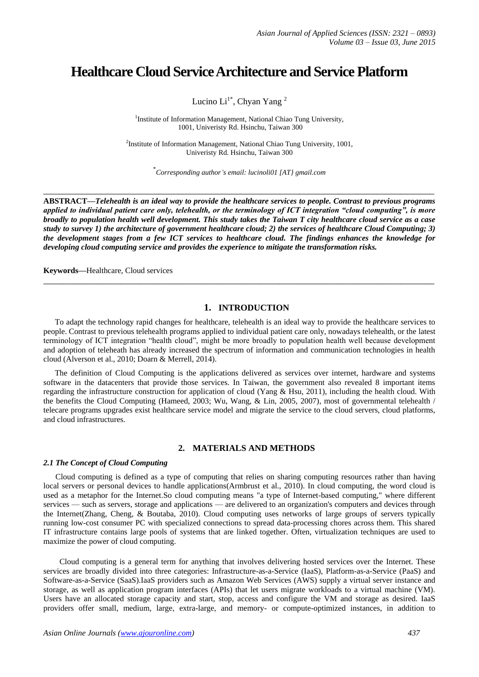# **Healthcare Cloud Service Architecture and Service Platform**

Lucino  $Li<sup>1*</sup>$ , Chyan Yang<sup>2</sup>

<sup>1</sup>Institute of Information Management, National Chiao Tung University, 1001, Univeristy Rd. Hsinchu, Taiwan 300

<sup>2</sup>Institute of Information Management, National Chiao Tung University, 1001, Univeristy Rd. Hsinchu, Taiwan 300

\* *Corresponding author's email: lucinoli01 [AT} gmail.com* 

**\_\_\_\_\_\_\_\_\_\_\_\_\_\_\_\_\_\_\_\_\_\_\_\_\_\_\_\_\_\_\_\_\_\_\_\_\_\_\_\_\_\_\_\_\_\_\_\_\_\_\_\_\_\_\_\_\_\_\_\_\_\_\_\_\_\_\_\_\_\_\_\_\_\_\_\_\_\_\_\_\_**

**ABSTRACT—***Telehealth is an ideal way to provide the healthcare services to people. Contrast to previous programs applied to individual patient care only, telehealth, or the terminology of ICT integration "cloud computing", is more broadly to population health well development. This study takes the Taiwan T city healthcare cloud service as a case study to survey 1) the architecture of government healthcare cloud; 2) the services of healthcare Cloud Computing; 3) the development stages from a few ICT services to healthcare cloud. The findings enhances the knowledge for developing cloud computing service and provides the experience to mitigate the transformation risks.*

**\_\_\_\_\_\_\_\_\_\_\_\_\_\_\_\_\_\_\_\_\_\_\_\_\_\_\_\_\_\_\_\_\_\_\_\_\_\_\_\_\_\_\_\_\_\_\_\_\_\_\_\_\_\_\_\_\_\_\_\_\_\_\_\_\_\_\_\_\_\_\_\_\_\_\_\_\_\_\_\_\_**

**Keywords—**Healthcare, Cloud services

# **1. INTRODUCTION**

To adapt the technology rapid changes for healthcare, telehealth is an ideal way to provide the healthcare services to people. Contrast to previous telehealth programs applied to individual patient care only, nowadays telehealth, or the latest terminology of ICT integration "health cloud", might be more broadly to population health well because development and adoption of teleheath has already increased the spectrum of information and communication technologies in health cloud (Alverson et al., 2010; Doarn & Merrell, 2014).

The definition of Cloud Computing is the applications delivered as services over internet, hardware and systems software in the datacenters that provide those services. In Taiwan, the government also revealed 8 important items regarding the infrastructure construction for application of cloud (Yang & Hsu, 2011), including the health cloud. With the benefits the Cloud Computing (Hameed, 2003; Wu, Wang, & Lin, 2005, 2007), most of governmental telehealth / telecare programs upgrades exist healthcare service model and migrate the service to the cloud servers, cloud platforms, and cloud infrastructures.

# **2. MATERIALS AND METHODS**

#### *2.1 The Concept of Cloud Computing*

Cloud computing is defined as a type of computing that relies on sharing computing resources rather than having local servers or personal devices to handle applications(Armbrust et al., 2010). In cloud computing, the word cloud is used as a metaphor for the Internet.So cloud computing means "a type of Internet-based computing," where different services — such as servers, storage and applications — are delivered to an organization's computers and devices through the Internet(Zhang, Cheng, & Boutaba, 2010). Cloud computing uses networks of large groups of servers typically running low-cost consumer PC with specialized connections to spread data-processing chores across them. This shared IT infrastructure contains large pools of systems that are linked together. Often, virtualization techniques are used to maximize the power of cloud computing.

Cloud computing is a general term for anything that involves delivering hosted services over the Internet. These services are broadly divided into three categories: Infrastructure-as-a-Service (IaaS), Platform-as-a-Service (PaaS) and Software-as-a-Service (SaaS).IaaS providers such as Amazon Web Services (AWS) supply a virtual server instance and storage, as well as application program interfaces (APIs) that let users migrate workloads to a virtual machine (VM). Users have an allocated storage capacity and start, stop, access and configure the VM and storage as desired. IaaS providers offer small, medium, large, extra-large, and memory- or compute-optimized instances, in addition to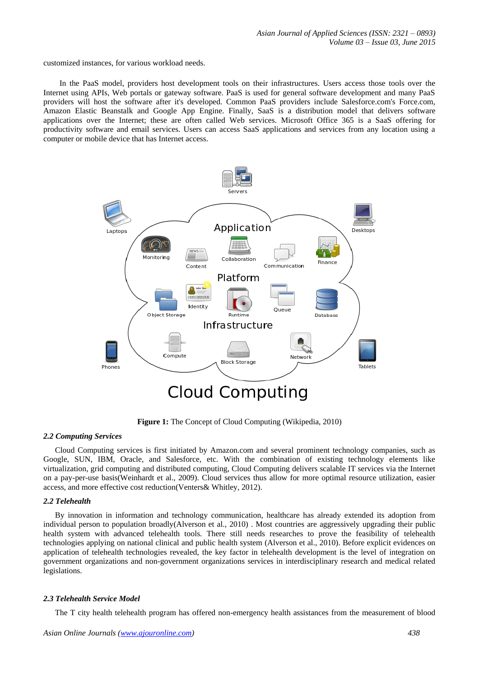customized instances, for various workload needs.

In the PaaS model, providers host development tools on their infrastructures. Users access those tools over the Internet using APIs, Web portals or gateway software. PaaS is used for general software development and many PaaS providers will host the software after it's developed. Common PaaS providers include Salesforce.com's Force.com, Amazon Elastic Beanstalk and Google App Engine. Finally, SaaS is a distribution model that delivers software applications over the Internet; these are often called Web services. Microsoft Office 365 is a SaaS offering for productivity software and email services. Users can access SaaS applications and services from any location using a computer or mobile device that has Internet access.



**Figure 1:** The Concept of Cloud Computing (Wikipedia, 2010)

## *2.2 Computing Services*

Cloud Computing services is first initiated by Amazon.com and several prominent technology companies, such as Google, SUN, IBM, Oracle, and Salesforce, etc. With the combination of existing technology elements like virtualization, grid computing and distributed computing, Cloud Computing delivers scalable IT services via the Internet on a pay-per-use basis(Weinhardt et al., 2009). Cloud services thus allow for more optimal resource utilization, easier access, and more effective cost reduction(Venters& Whitley, 2012).

## *2.2 Telehealth*

By innovation in information and technology communication, healthcare has already extended its adoption from individual person to population broadly(Alverson et al., 2010) . Most countries are aggressively upgrading their public health system with advanced telehealth tools. There still needs researches to prove the feasibility of telehealth technologies applying on national clinical and public health system (Alverson et al., 2010). Before explicit evidences on application of telehealth technologies revealed, the key factor in telehealth development is the level of integration on government organizations and non-government organizations services in interdisciplinary research and medical related legislations.

## *2.3 Telehealth Service Model*

The T city health telehealth program has offered non-emergency health assistances from the measurement of blood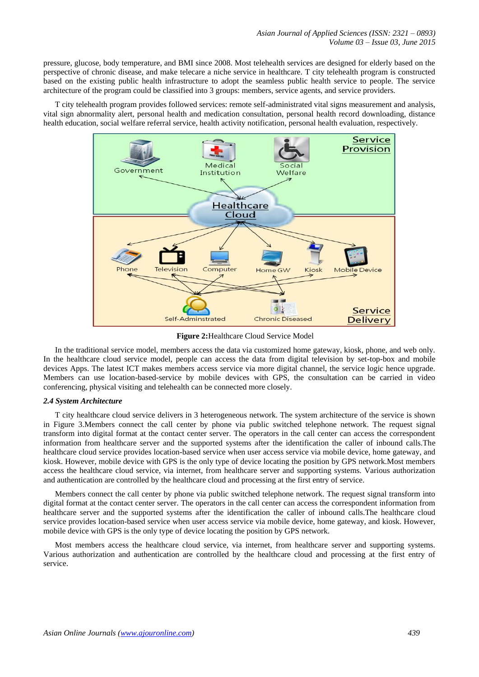pressure, glucose, body temperature, and BMI since 2008. Most telehealth services are designed for elderly based on the perspective of chronic disease, and make telecare a niche service in healthcare. T city telehealth program is constructed based on the existing public health infrastructure to adopt the seamless public health service to people. The service architecture of the program could be classified into 3 groups: members, service agents, and service providers.

T city telehealth program provides followed services: remote self-administrated vital signs measurement and analysis, vital sign abnormality alert, personal health and medication consultation, personal health record downloading, distance health education, social welfare referral service, health activity notification, personal health evaluation, respectively.



**Figure 2:**Healthcare Cloud Service Model

In the traditional service model, members access the data via customized home gateway, kiosk, phone, and web only. In the healthcare cloud service model, people can access the data from digital television by set-top-box and mobile devices Apps. The latest ICT makes members access service via more digital channel, the service logic hence upgrade. Members can use location-based-service by mobile devices with GPS, the consultation can be carried in video conferencing, physical visiting and telehealth can be connected more closely.

#### *2.4 System Architecture*

T city healthcare cloud service delivers in 3 heterogeneous network. The system architecture of the service is shown in Figure 3.Members connect the call center by phone via public switched telephone network. The request signal transform into digital format at the contact center server. The operators in the call center can access the correspondent information from healthcare server and the supported systems after the identification the caller of inbound calls.The healthcare cloud service provides location-based service when user access service via mobile device, home gateway, and kiosk. However, mobile device with GPS is the only type of device locating the position by GPS network.Most members access the healthcare cloud service, via internet, from healthcare server and supporting systems. Various authorization and authentication are controlled by the healthcare cloud and processing at the first entry of service.

Members connect the call center by phone via public switched telephone network. The request signal transform into digital format at the contact center server. The operators in the call center can access the correspondent information from healthcare server and the supported systems after the identification the caller of inbound calls.The healthcare cloud service provides location-based service when user access service via mobile device, home gateway, and kiosk. However, mobile device with GPS is the only type of device locating the position by GPS network.

Most members access the healthcare cloud service, via internet, from healthcare server and supporting systems. Various authorization and authentication are controlled by the healthcare cloud and processing at the first entry of service.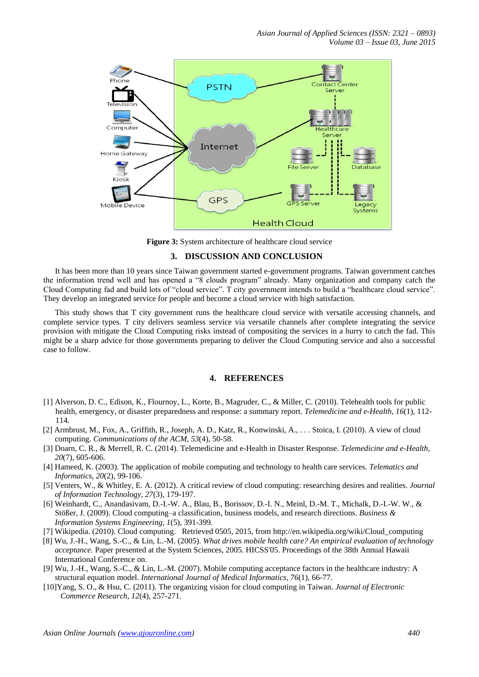*Asian Journal of Applied Sciences (ISSN: 2321 – 0893) Volume 03 – Issue 03, June 2015*



Figure 3: System architecture of healthcare cloud service

#### **3. DISCUSSION AND CONCLUSION**

It has been more than 10 years since Taiwan government started e-government programs. Taiwan government catches the information trend well and has opened a "8 clouds program" already. Many organization and company catch the Cloud Computing fad and build lots of "cloud service". T city government intends to build a "healthcare cloud service". They develop an integrated service for people and become a cloud service with high satisfaction.

This study shows that T city government runs the healthcare cloud service with versatile accessing channels, and complete service types. T city delivers seamless service via versatile channels after complete integrating the service provision with mitigate the Cloud Computing risks instead of compositing the services in a hurry to catch the fad. This might be a sharp advice for those governments preparing to deliver the Cloud Computing service and also a successful case to follow.

# **4. REFERENCES**

- [1] Alverson, D. C., Edison, K., Flournoy, L., Korte, B., Magruder, C., & Miller, C. (2010). Telehealth tools for public health, emergency, or disaster preparedness and response: a summary report. *Telemedicine and e-Health, 16*(1), 112- 114.
- [2] Armbrust, M., Fox, A., Griffith, R., Joseph, A. D., Katz, R., Konwinski, A., . . . Stoica, I. (2010). A view of cloud computing. *Communications of the ACM, 53*(4), 50-58.
- [3] Doarn, C. R., & Merrell, R. C. (2014). Telemedicine and e-Health in Disaster Response. *Telemedicine and e-Health, 20*(7), 605-606.
- [4] Hameed, K. (2003). The application of mobile computing and technology to health care services. *Telematics and Informatics, 20*(2), 99-106.
- [5] Venters, W., & Whitley, E. A. (2012). A critical review of cloud computing: researching desires and realities. *Journal of Information Technology, 27*(3), 179-197.
- [6] Weinhardt, C., Anandasivam, D.-I.-W. A., Blau, B., Borissov, D.-I. N., Meinl, D.-M. T., Michalk, D.-I.-W. W., & Stößer, J. (2009). Cloud computing–a classification, business models, and research directions. *Business & Information Systems Engineering, 1*(5), 391-399.
- [7] Wikipedia. (2010). Cloud computing. Retrieved 0505, 2015, from http://en.wikipedia.org/wiki/Cloud\_computing
- [8] Wu, J.-H., Wang, S.-C., & Lin, L.-M. (2005). *What drives mobile health care? An empirical evaluation of technology acceptance.* Paper presented at the System Sciences, 2005. HICSS'05. Proceedings of the 38th Annual Hawaii International Conference on.
- [9] Wu, J.-H., Wang, S.-C., & Lin, L.-M. (2007). Mobile computing acceptance factors in the healthcare industry: A structural equation model. *International Journal of Medical Informatics, 76*(1), 66-77.
- [10]Yang, S. O., & Hsu, C. (2011). The organizing vision for cloud computing in Taiwan. *Journal of Electronic Commerce Research, 12*(4), 257-271.